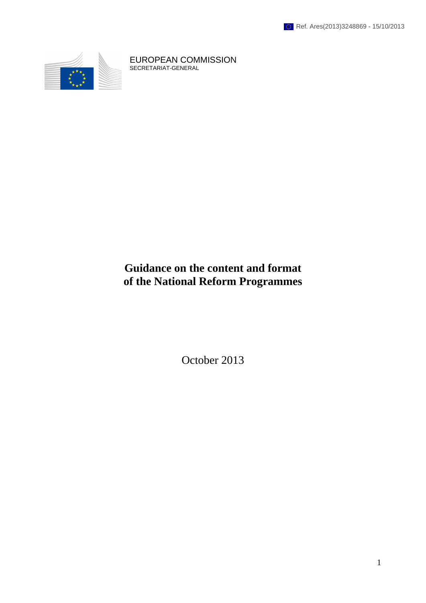

EUROPEAN COMMISSION SECRETARIAT-GENERAL

# **Guidance on the content and format of the National Reform Programmes**

October 2013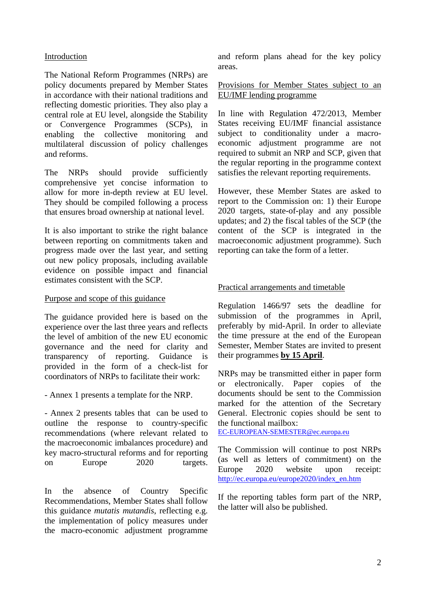# Introduction

The National Reform Programmes (NRPs) are policy documents prepared by Member States in accordance with their national traditions and reflecting domestic priorities. They also play a central role at EU level, alongside the Stability or Convergence Programmes (SCPs), in enabling the collective monitoring and multilateral discussion of policy challenges and reforms.

The NRPs should provide sufficiently comprehensive yet concise information to allow for more in-depth review at EU level. They should be compiled following a process that ensures broad ownership at national level.

It is also important to strike the right balance between reporting on commitments taken and progress made over the last year, and setting out new policy proposals, including available evidence on possible impact and financial estimates consistent with the SCP.

# Purpose and scope of this guidance

The guidance provided here is based on the experience over the last three years and reflects the level of ambition of the new EU economic governance and the need for clarity and transparency of reporting. Guidance is provided in the form of a check-list for coordinators of NRPs to facilitate their work:

- Annex 1 presents a template for the NRP.

- Annex 2 presents tables that can be used to outline the response to country-specific recommendations (where relevant related to the macroeconomic imbalances procedure) and key macro-structural reforms and for reporting on Europe 2020 targets.

In the absence of Country Specific Recommendations, Member States shall follow this guidance *mutatis mutandis*, reflecting e.g. the implementation of policy measures under the macro-economic adjustment programme and reform plans ahead for the key policy areas.

Provisions for Member States subject to an EU/IMF lending programme

In line with Regulation 472/2013, Member States receiving EU/IMF financial assistance subject to conditionality under a macroeconomic adjustment programme are not required to submit an NRP and SCP, given that the regular reporting in the programme context satisfies the relevant reporting requirements.

However, these Member States are asked to report to the Commission on: 1) their Europe 2020 targets, state-of-play and any possible updates; and 2) the fiscal tables of the SCP (the content of the SCP is integrated in the macroeconomic adjustment programme). Such reporting can take the form of a letter.

# Practical arrangements and timetable

Regulation 1466/97 sets the deadline for submission of the programmes in April, preferably by mid-April. In order to alleviate the time pressure at the end of the European Semester, Member States are invited to present their programmes **by 15 April**.

NRPs may be transmitted either in paper form or electronically. Paper copies of the documents should be sent to the Commission marked for the attention of the Secretary General. Electronic copies should be sent to the functional mailbox:

[EC-EUROPEAN-SEMESTER@ec.europa.eu](mailto:EC-EUROPEAN-SEMESTER@ec.europa.eu)

The Commission will continue to post NRPs (as well as letters of commitment) on the Europe 2020 website upon receipt: [http://ec.europa.eu/europe2020/index\\_en.htm](http://ec.europa.eu/europe2020/index_en.htm)

If the reporting tables form part of the NRP, the latter will also be published.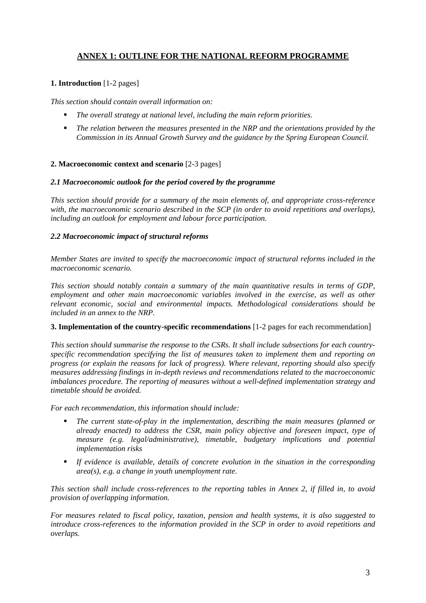# **ANNEX 1: OUTLINE FOR THE NATIONAL REFORM PROGRAMME**

# **1. Introduction** [1-2 pages]

*This section should contain overall information on:* 

- *The overall strategy at national level, including the main reform priorities.*
- *The relation between the measures presented in the NRP and the orientations provided by the Commission in its Annual Growth Survey and the guidance by the Spring European Council.*

### **2. Macroeconomic context and scenario** [2-3 pages]

#### *2.1 Macroeconomic outlook for the period covered by the programme*

*This section should provide for a summary of the main elements of, and appropriate cross-reference with, the macroeconomic scenario described in the SCP (in order to avoid repetitions and overlaps), including an outlook for employment and labour force participation.* 

#### *2.2 Macroeconomic impact of structural reforms*

*Member States are invited to specify the macroeconomic impact of structural reforms included in the macroeconomic scenario.* 

*This section should notably contain a summary of the main quantitative results in terms of GDP, employment and other main macroeconomic variables involved in the exercise, as well as other relevant economic, social and environmental impacts. Methodological considerations should be included in an annex to the NRP.* 

#### **3. Implementation of the country-specific recommendations** [1-2 pages for each recommendation]

*This section should summarise the response to the CSRs. It shall include subsections for each countryspecific recommendation specifying the list of measures taken to implement them and reporting on progress (or explain the reasons for lack of progress). Where relevant, reporting should also specify measures addressing findings in in-depth reviews and recommendations related to the macroeconomic imbalances procedure. The reporting of measures without a well-defined implementation strategy and timetable should be avoided.* 

*For each recommendation, this information should include:* 

- *The current state-of-play in the implementation, describing the main measures (planned or already enacted) to address the CSR, main policy objective and foreseen impact, type of measure (e.g. legal/administrative), timetable, budgetary implications and potential implementation risks*
- *If evidence is available, details of concrete evolution in the situation in the corresponding area(s), e.g. a change in youth unemployment rate.*

*This section shall include cross-references to the reporting tables in Annex 2, if filled in, to avoid provision of overlapping information.* 

*For measures related to fiscal policy, taxation, pension and health systems, it is also suggested to introduce cross-references to the information provided in the SCP in order to avoid repetitions and overlaps.*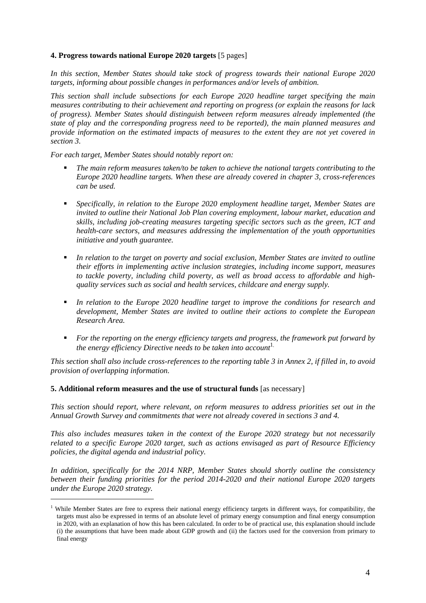#### **4. Progress towards national Europe 2020 targets** [5 pages]

*In this section, Member States should take stock of progress towards their national Europe 2020 targets, informing about possible changes in performances and/or levels of ambition.* 

*This section shall include subsections for each Europe 2020 headline target specifying the main measures contributing to their achievement and reporting on progress (or explain the reasons for lack of progress). Member States should distinguish between reform measures already implemented (the state of play and the corresponding progress need to be reported), the main planned measures and provide information on the estimated impacts of measures to the extent they are not yet covered in section 3.* 

*For each target, Member States should notably report on:* 

- *The main reform measures taken/to be taken to achieve the national targets contributing to the Europe 2020 headline targets. When these are already covered in chapter 3, cross-references can be used.*
- *Specifically, in relation to the Europe 2020 employment headline target, Member States are invited to outline their National Job Plan covering employment, labour market, education and skills, including job-creating measures targeting specific sectors such as the green, ICT and health-care sectors, and measures addressing the implementation of the youth opportunities initiative and youth guarantee.*
- *In relation to the target on poverty and social exclusion, Member States are invited to outline their efforts in implementing active inclusion strategies, including income support, measures to tackle poverty, including child poverty, as well as broad access to affordable and highquality services such as social and health services, childcare and energy supply.*
- *In relation to the Europe 2020 headline target to improve the conditions for research and development, Member States are invited to outline their actions to complete the European Research Area.*
- *For the reporting on the energy efficiency targets and progress, the framework put forward by the energy efficiency Directive needs to be taken into account*<sup>1</sup>.

*This section shall also include cross-references to the reporting table 3 in Annex 2, if filled in, to avoid provision of overlapping information.* 

#### **5. Additional reform measures and the use of structural funds** [as necessary]

1

*This section should report, where relevant, on reform measures to address priorities set out in the Annual Growth Survey and commitments that were not already covered in sections 3 and 4.* 

*This also includes measures taken in the context of the Europe 2020 strategy but not necessarily related to a specific Europe 2020 target, such as actions envisaged as part of Resource Efficiency policies, the digital agenda and industrial policy.* 

*In addition, specifically for the 2014 NRP, Member States should shortly outline the consistency between their funding priorities for the period 2014-2020 and their national Europe 2020 targets under the Europe 2020 strategy.* 

<sup>&</sup>lt;sup>1</sup> While Member States are free to express their national energy efficiency targets in different ways, for compatibility, the targets must also be expressed in terms of an absolute level of primary energy consumption and final energy consumption in 2020, with an explanation of how this has been calculated. In order to be of practical use, this explanation should include (i) the assumptions that have been made about GDP growth and (ii) the factors used for the conversion from primary to final energy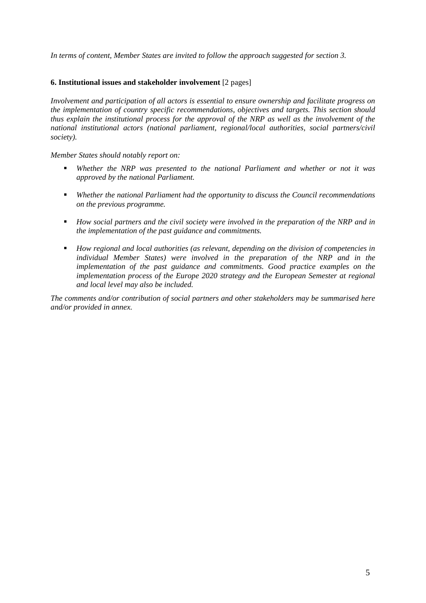*In terms of content, Member States are invited to follow the approach suggested for section 3.* 

#### **6. Institutional issues and stakeholder involvement** [2 pages]

*Involvement and participation of all actors is essential to ensure ownership and facilitate progress on the implementation of country specific recommendations, objectives and targets. This section should thus explain the institutional process for the approval of the NRP as well as the involvement of the national institutional actors (national parliament, regional/local authorities, social partners/civil society).* 

*Member States should notably report on:* 

- *Whether the NRP was presented to the national Parliament and whether or not it was approved by the national Parliament.*
- *Whether the national Parliament had the opportunity to discuss the Council recommendations on the previous programme.*
- *How social partners and the civil society were involved in the preparation of the NRP and in the implementation of the past guidance and commitments.*
- *How regional and local authorities (as relevant, depending on the division of competencies in individual Member States) were involved in the preparation of the NRP and in the implementation of the past guidance and commitments. Good practice examples on the implementation process of the Europe 2020 strategy and the European Semester at regional and local level may also be included.*

*The comments and/or contribution of social partners and other stakeholders may be summarised here and/or provided in annex.*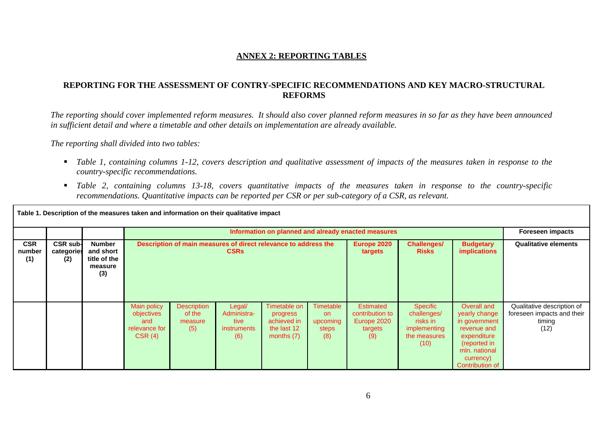# **ANNEX 2: REPORTING TABLES**

# **REPORTING FOR THE ASSESSMENT OF CONTRY-SPECIFIC RECOMMENDATIONS AND KEY MACRO-STRUCTURAL REFORMS**

*The reporting should cover implemented reform measures. It should also cover planned reform measures in so far as they have been announced in sufficient detail and where a timetable and other details on implementation are already available.* 

*The reporting shall divided into two tables:* 

- *Table 1, containing columns 1-12, covers description and qualitative assessment of impacts of the measures taken in response to the country-specific recommendations.*
- *Table 2, containing columns 13-18, covers quantitative impacts of the measures taken in response to the country-specific recommendations. Quantitative impacts can be reported per CSR or per sub-category of a CSR, as relevant.*

|                             | Table 1. Description of the measures taken and information on their qualitative impact |                                                              |                                                             |                                                                                |                                                            |                                                                        |                                              |                                                                      |                                                                             |                                                                                                                                              |                                                                            |
|-----------------------------|----------------------------------------------------------------------------------------|--------------------------------------------------------------|-------------------------------------------------------------|--------------------------------------------------------------------------------|------------------------------------------------------------|------------------------------------------------------------------------|----------------------------------------------|----------------------------------------------------------------------|-----------------------------------------------------------------------------|----------------------------------------------------------------------------------------------------------------------------------------------|----------------------------------------------------------------------------|
|                             |                                                                                        |                                                              |                                                             |                                                                                |                                                            |                                                                        |                                              | Information on planned and already enacted measures                  |                                                                             |                                                                                                                                              | <b>Foreseen impacts</b>                                                    |
| <b>CSR</b><br>number<br>(1) | <b>CSR sub-</b><br>categories<br>(2)                                                   | <b>Number</b><br>and short<br>title of the<br>measure<br>(3) |                                                             | Description of main measures of direct relevance to address the<br><b>CSRs</b> |                                                            |                                                                        | Europe 2020<br>targets                       | <b>Challenges/</b><br><b>Risks</b>                                   | <b>Budgetary</b><br><b>implications</b>                                     | <b>Qualitative elements</b>                                                                                                                  |                                                                            |
|                             |                                                                                        |                                                              | Main policy<br>objectives<br>and<br>relevance for<br>CSR(4) | <b>Description</b><br>of the<br>measure<br>(5)                                 | Legal/<br>Administra-<br>tive<br><i>instruments</i><br>(6) | Timetable on<br>progress<br>achieved in<br>the last 12<br>months $(7)$ | Timetable<br>on.<br>upcoming<br>steps<br>(8) | <b>Estimated</b><br>contribution to<br>Europe 2020<br>targets<br>(9) | Specific<br>challenges/<br>risks in<br>implementing<br>the measures<br>(10) | Overall and<br>yearly change<br>in government<br>revenue and<br>expenditure<br>(reported in<br>mln. national<br>currency)<br>Contribution of | Qualitative description of<br>foreseen impacts and their<br>timing<br>(12) |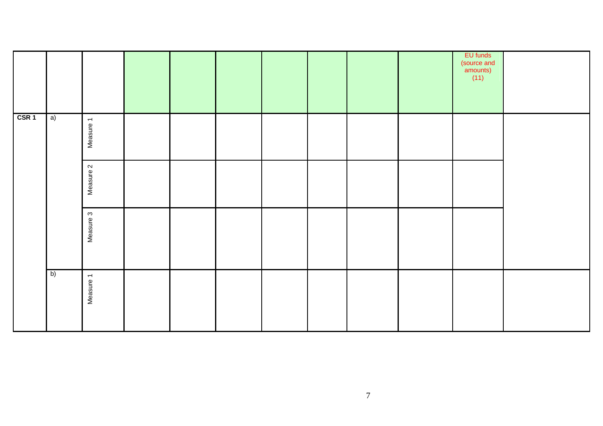|                  |    |           |  |  |  | EU funds<br>(source and<br>amounts)<br>$(11)$ |  |
|------------------|----|-----------|--|--|--|-----------------------------------------------|--|
| CSR <sub>1</sub> | a) | Measure 1 |  |  |  |                                               |  |
|                  |    | Measure 2 |  |  |  |                                               |  |
|                  |    | Measure 3 |  |  |  |                                               |  |
|                  | b) | Measure 1 |  |  |  |                                               |  |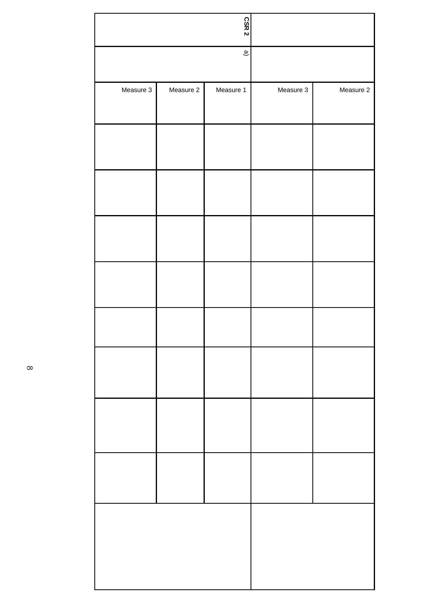|           |           | CSR <sub>2</sub>         |           |           |
|-----------|-----------|--------------------------|-----------|-----------|
|           |           | $\widehat{\mathfrak{w}}$ |           |           |
| Measure 3 | Measure 2 | Measure 1                | Measure 3 | Measure 2 |
|           |           |                          |           |           |
|           |           |                          |           |           |
|           |           |                          |           |           |
|           |           |                          |           |           |
|           |           |                          |           |           |
|           |           |                          |           |           |
|           |           |                          |           |           |
|           |           |                          |           |           |
|           |           |                          |           |           |
|           |           |                          |           |           |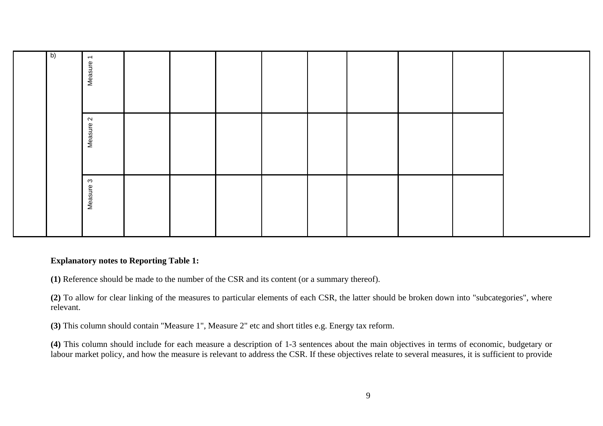|  | $\overline{b}$ | $\overline{\phantom{0}}$<br>Measure |  |  |  |  |  |
|--|----------------|-------------------------------------|--|--|--|--|--|
|  |                | $\mathbf{\Omega}$<br>Measure:       |  |  |  |  |  |
|  |                | $\mathfrak{S}$<br>Measure           |  |  |  |  |  |

# **Explanatory notes to Reporting Table 1:**

**(1)** Reference should be made to the number of the CSR and its content (or a summary thereof).

**(2)** To allow for clear linking of the measures to particular elements of each CSR, the latter should be broken down into "subcategories", where relevant.

**(3)** This column should contain "Measure 1", Measure 2" etc and short titles e.g. Energy tax reform.

**(4)** This column should include for each measure a description of 1-3 sentences about the main objectives in terms of economic, budgetary or labour market policy, and how the measure is relevant to address the CSR. If these objectives relate to several measures, it is sufficient to provide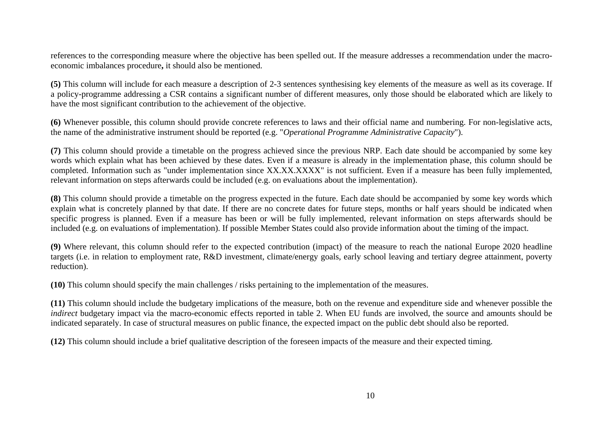references to the corresponding measure where the objective has been spelled out. If the measure addresses a recommendation under the macroeconomic imbalances procedure**,** it should also be mentioned.

**(5)** This column will include for each measure a description of 2-3 sentences synthesising key elements of the measure as well as its coverage. If a policy-programme addressing a CSR contains a significant number of different measures, only those should be elaborated which are likely to have the most significant contribution to the achievement of the objective.

**(6)** Whenever possible, this column should provide concrete references to laws and their official name and numbering. For non-legislative acts, the name of the administrative instrument should be reported (e.g. "*Operational Programme Administrative Capacity*").

**(7)** This column should provide a timetable on the progress achieved since the previous NRP. Each date should be accompanied by some key words which explain what has been achieved by these dates. Even if a measure is already in the implementation phase, this column should be completed. Information such as "under implementation since XX.XX.XXXX" is not sufficient. Even if a measure has been fully implemented, relevant information on steps afterwards could be included (e.g. on evaluations about the implementation).

**(8)** This column should provide a timetable on the progress expected in the future. Each date should be accompanied by some key words which explain what is concretely planned by that date. If there are no concrete dates for future steps, months or half years should be indicated when specific progress is planned. Even if a measure has been or will be fully implemented, relevant information on steps afterwards should be included (e.g. on evaluations of implementation). If possible Member States could also provide information about the timing of the impact.

**(9)** Where relevant, this column should refer to the expected contribution (impact) of the measure to reach the national Europe 2020 headline targets (i.e. in relation to employment rate, R&D investment, climate/energy goals, early school leaving and tertiary degree attainment, poverty reduction).

**(10)** This column should specify the main challenges / risks pertaining to the implementation of the measures.

**(11)** This column should include the budgetary implications of the measure, both on the revenue and expenditure side and whenever possible the *indirect* budgetary impact via the macro-economic effects reported in table 2. When EU funds are involved, the source and amounts should be indicated separately. In case of structural measures on public finance, the expected impact on the public debt should also be reported.

**(12)** This column should include a brief qualitative description of the foreseen impacts of the measure and their expected timing.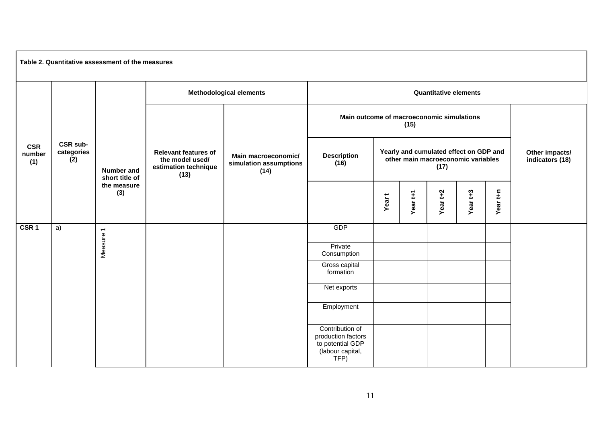| Table 2. Quantitative assessment of the measures |                                      |                                     |                                                                                |                                                       |                                                                                       |                                                                                      |                              |                                   |          |          |  |  |
|--------------------------------------------------|--------------------------------------|-------------------------------------|--------------------------------------------------------------------------------|-------------------------------------------------------|---------------------------------------------------------------------------------------|--------------------------------------------------------------------------------------|------------------------------|-----------------------------------|----------|----------|--|--|
|                                                  |                                      |                                     |                                                                                | <b>Methodological elements</b>                        |                                                                                       |                                                                                      | <b>Quantitative elements</b> |                                   |          |          |  |  |
| <b>CSR</b><br>number<br>(1)                      |                                      |                                     |                                                                                | Main macroeconomic/<br>simulation assumptions<br>(14) | Main outcome of macroeconomic simulations<br>(15)                                     |                                                                                      |                              |                                   |          |          |  |  |
|                                                  | <b>CSR sub-</b><br>categories<br>(2) | <b>Number and</b><br>short title of | <b>Relevant features of</b><br>the model used/<br>estimation technique<br>(13) |                                                       | <b>Description</b><br>(16)                                                            | Yearly and cumulated effect on GDP and<br>other main macroeconomic variables<br>(17) |                              | Other impacts/<br>indicators (18) |          |          |  |  |
|                                                  |                                      | the measure<br>(3)                  |                                                                                |                                                       |                                                                                       | Year <sub>t</sub>                                                                    | Year t+1                     | Year t+2                          | Year t+3 | Year t+n |  |  |
| CSR <sub>1</sub>                                 | a)                                   |                                     |                                                                                |                                                       | GDP                                                                                   |                                                                                      |                              |                                   |          |          |  |  |
|                                                  |                                      | Measure 1                           |                                                                                |                                                       | Private<br>Consumption                                                                |                                                                                      |                              |                                   |          |          |  |  |
|                                                  |                                      |                                     |                                                                                |                                                       | Gross capital<br>formation                                                            |                                                                                      |                              |                                   |          |          |  |  |
|                                                  |                                      |                                     |                                                                                |                                                       | Net exports                                                                           |                                                                                      |                              |                                   |          |          |  |  |
|                                                  |                                      |                                     |                                                                                |                                                       | Employment                                                                            |                                                                                      |                              |                                   |          |          |  |  |
|                                                  |                                      |                                     |                                                                                |                                                       | Contribution of<br>production factors<br>to potential GDP<br>(labour capital,<br>TFP) |                                                                                      |                              |                                   |          |          |  |  |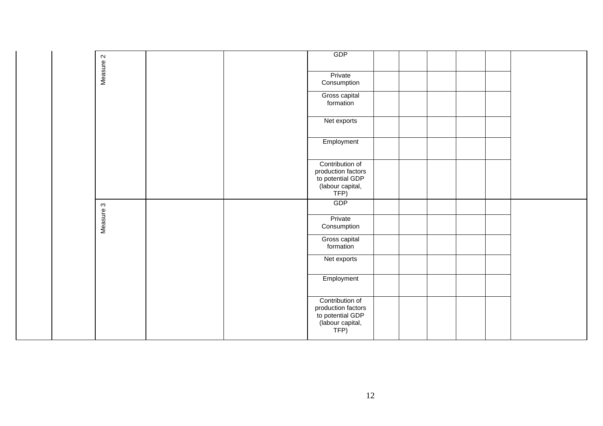|  |           |                            | GDP                                                                                   |  |  |  |
|--|-----------|----------------------------|---------------------------------------------------------------------------------------|--|--|--|
|  | Measure 2 |                            | Private<br>Consumption                                                                |  |  |  |
|  |           |                            | Gross capital<br>formation                                                            |  |  |  |
|  |           |                            | Net exports                                                                           |  |  |  |
|  |           |                            | Employment                                                                            |  |  |  |
|  |           |                            | Contribution of<br>production factors<br>to potential GDP<br>(labour capital,<br>TFP) |  |  |  |
|  |           |                            | GDP                                                                                   |  |  |  |
|  | Measure 3 |                            | Private<br>Consumption                                                                |  |  |  |
|  |           | Gross capital<br>formation |                                                                                       |  |  |  |
|  |           |                            | Net exports                                                                           |  |  |  |
|  |           |                            | Employment                                                                            |  |  |  |
|  |           |                            | Contribution of<br>production factors<br>to potential GDP<br>(labour capital,<br>TFP) |  |  |  |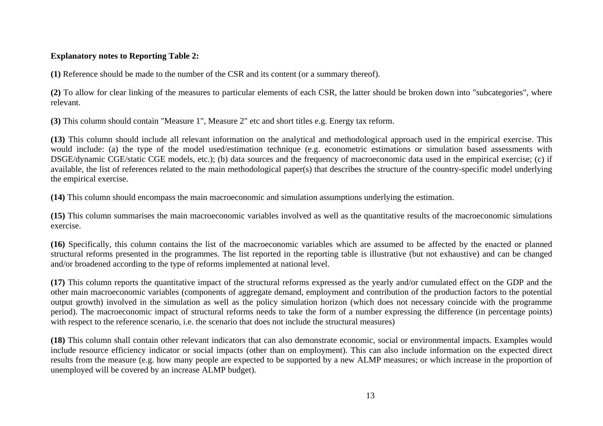# **Explanatory notes to Reporting Table 2:**

**(1)** Reference should be made to the number of the CSR and its content (or a summary thereof).

**(2)** To allow for clear linking of the measures to particular elements of each CSR, the latter should be broken down into "subcategories", where relevant.

**(3)** This column should contain "Measure 1", Measure 2" etc and short titles e.g. Energy tax reform.

**(13)** This column should include all relevant information on the analytical and methodological approach used in the empirical exercise. This would include: (a) the type of the model used/estimation technique (e.g. econometric estimations or simulation based assessments with DSGE/dynamic CGE/static CGE models, etc.); (b) data sources and the frequency of macroeconomic data used in the empirical exercise; (c) if available, the list of references related to the main methodological paper(s) that describes the structure of the country-specific model underlying the empirical exercise.

**(14)** This column should encompass the main macroeconomic and simulation assumptions underlying the estimation.

**(15)** This column summarises the main macroeconomic variables involved as well as the quantitative results of the macroeconomic simulations exercise.

**(16)** Specifically, this column contains the list of the macroeconomic variables which are assumed to be affected by the enacted or planned structural reforms presented in the programmes. The list reported in the reporting table is illustrative (but not exhaustive) and can be changed and/or broadened according to the type of reforms implemented at national level.

**(17)** This column reports the quantitative impact of the structural reforms expressed as the yearly and/or cumulated effect on the GDP and the other main macroeconomic variables (components of aggregate demand, employment and contribution of the production factors to the potential output growth) involved in the simulation as well as the policy simulation horizon (which does not necessary coincide with the programme period). The macroeconomic impact of structural reforms needs to take the form of a number expressing the difference (in percentage points) with respect to the reference scenario, i.e. the scenario that does not include the structural measures)

**(18)** This column shall contain other relevant indicators that can also demonstrate economic, social or environmental impacts. Examples would include resource efficiency indicator or social impacts (other than on employment). This can also include information on the expected direct results from the measure (e.g. how many people are expected to be supported by a new ALMP measures; or which increase in the proportion of unemployed will be covered by an increase ALMP budget).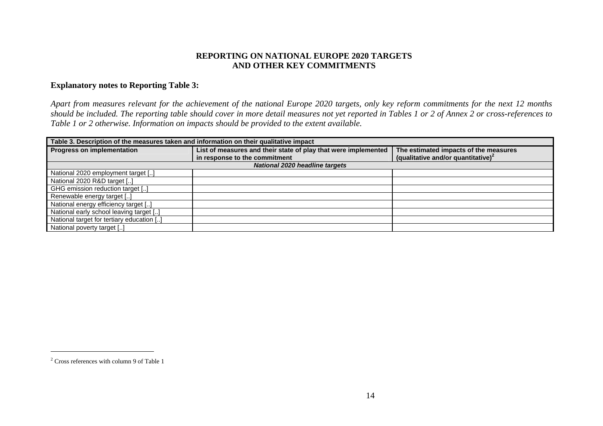# **REPORTING ON NATIONAL EUROPE 2020 TARGETS AND OTHER KEY COMMITMENTS**

### **Explanatory notes to Reporting Table 3:**

*Apart from measures relevant for the achievement of the national Europe 2020 targets, only key reform commitments for the next 12 months should be included. The reporting table should cover in more detail measures not yet reported in Tables 1 or 2 of Annex 2 or cross-references to Table 1 or 2 otherwise. Information on impacts should be provided to the extent available.* 

| Table 3. Description of the measures taken and information on their qualitative impact |                                                                |                                                |  |  |  |  |  |  |  |
|----------------------------------------------------------------------------------------|----------------------------------------------------------------|------------------------------------------------|--|--|--|--|--|--|--|
| <b>Progress on implementation</b>                                                      | List of measures and their state of play that were implemented | The estimated impacts of the measures          |  |  |  |  |  |  |  |
|                                                                                        | in response to the commitment                                  | (qualitative and/or quantitative) <sup>2</sup> |  |  |  |  |  |  |  |
| <b>National 2020 headline targets</b>                                                  |                                                                |                                                |  |  |  |  |  |  |  |
| National 2020 employment target []                                                     |                                                                |                                                |  |  |  |  |  |  |  |
| National 2020 R&D target []                                                            |                                                                |                                                |  |  |  |  |  |  |  |
| GHG emission reduction target []                                                       |                                                                |                                                |  |  |  |  |  |  |  |
| Renewable energy target []                                                             |                                                                |                                                |  |  |  |  |  |  |  |
| National energy efficiency target []                                                   |                                                                |                                                |  |  |  |  |  |  |  |
| National early school leaving target []                                                |                                                                |                                                |  |  |  |  |  |  |  |
| National target for tertiary education []                                              |                                                                |                                                |  |  |  |  |  |  |  |
| National poverty target []                                                             |                                                                |                                                |  |  |  |  |  |  |  |

<sup>&</sup>lt;sup>2</sup> Cross references with column 9 of Table 1